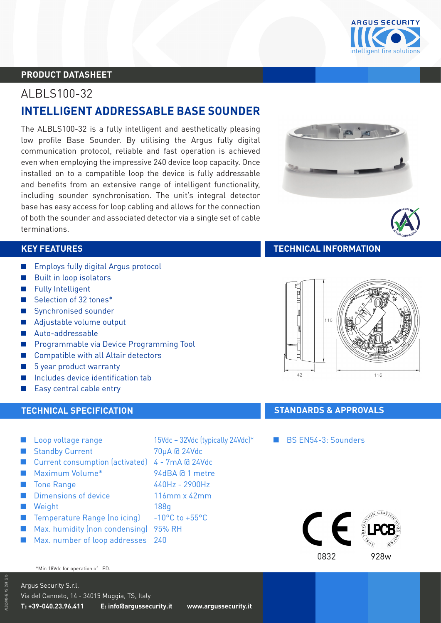

# **PRODUCT DATASHEET**

# ALBLS100-32 **INTELLIGENT ADDRESSABLE BASE SOUNDER**

The ALBLS100-32 is a fully intelligent and aesthetically pleasing low profile Base Sounder. By utilising the Argus fully digital communication protocol, reliable and fast operation is achieved even when employing the impressive 240 device loop capacity. Once installed on to a compatible loop the device is fully addressable and benefits from an extensive range of intelligent functionality, including sounder synchronisation. The unit's integral detector base has easy access for loop cabling and allows for the connection of both the sounder and associated detector via a single set of cable terminations.

- **Employs fully digital Argus protocol**
- **Built in loop isolators**
- **Fully Intelligent**
- Selection of 32 tones<sup>\*</sup>
- Synchronised sounder
- Adjustable volume output
- Auto-addressable
- **A Programmable via Device Programming Tool**
- Compatible with all Altair detectors
- 5 year product warranty
- Includes device identification tab
- Easy central cable entry

- Loop voltage range 15Vdc 32Vdc (typically 24Vdc)\*
- Standby Current 70uA @ 24Vdc
- Current consumption (activated) 4 7mA @ 24Vdc
- Maximum Volume<sup>\*</sup> 94dBA @ 1 metre
- Tone Range 440Hz 2900Hz
- **A Dimensions of device 6 and 116mm x 42mm**
- **A** Weight 188g
- Temperature Range (no icing) -10°C to +55°C
- **Max. humidity (non condensing) 95% RH**
- **Max. number of loop addresses** 240

#### \*Min 18Vdc for operation of LED.

Argus Security S.r.l. Via del Canneto, 14 - 34015 Muggia, TS, Italy **T: +39-040.23.96.411 E: info@argussecurity.it www.argussecurity.it**

- 
- 
- 
- -





## **KEY FEATURES TECHNICAL INFORMATION**



# **TECHNICAL SPECIFICATION TECHNICAL SPECIFICATION**

### BS EN54-3: Sounders

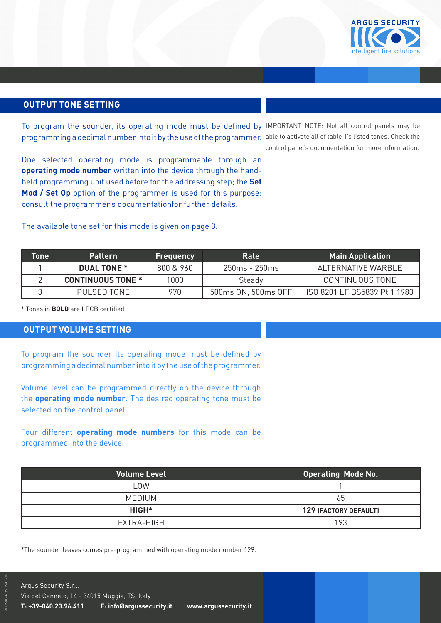

## **OUTPUT TONE SETTING**

To program the sounder, its operating mode must be defined by IMPORTANT NOTE: Not all control panels may be programming a decimal number into it by the use of the programmer. able to activate all of table 1's listed tones. Check the

One selected operating mode is programmable through an **operating mode number** written into the device through the handheld programming unit used before for the addressing step; the **Set Mod / Set Op** option of the programmer is used for this purpose: consult the programmer's documentationfor further details.

The available tone set for this mode is given on page 3.

control panel's documentation for more information.

| Tone | <b>Pattern</b>           | <b>Frequency</b> | Rate                | <b>Main Application</b>      |
|------|--------------------------|------------------|---------------------|------------------------------|
|      | <b>DUAL TONE *</b>       | 800 & 960        | $250ms - 250ms$     | AI TERNATIVE WARBLE          |
|      | <b>CONTINUOUS TONE *</b> | 1000             | Steady              | CONTINUOUS TONE              |
|      | PULSED TONE              | 970              | 500ms ON, 500ms OFF | ISO 8201 LF BS5839 Pt 1 1983 |

\* Tones in **BOLD** are LPCB certified

### **OUTPUT VOLUME SETTING**

To program the sounder its operating mode must be defined by programming a decimal number into it by the use of the programmer.

Volume level can be programmed directly on the device through the **operating mode number**. The desired operating tone must be selected on the control panel.

Four different **operating mode numbers** for this mode can be programmed into the device.

| <b>Volume Level</b> | <b>Operating Mode No.</b> |
|---------------------|---------------------------|
| LOW                 |                           |
| <b>MEDIUM</b>       | 65                        |
| HIGH*               | 129 (FACTORY DEFAULT)     |
| EXTRA-HIGH          | 193                       |

\*The sounder leaves comes pre-programmed with operating mode number 129.

ALBLS100-32\_AS\_DSH\_021b